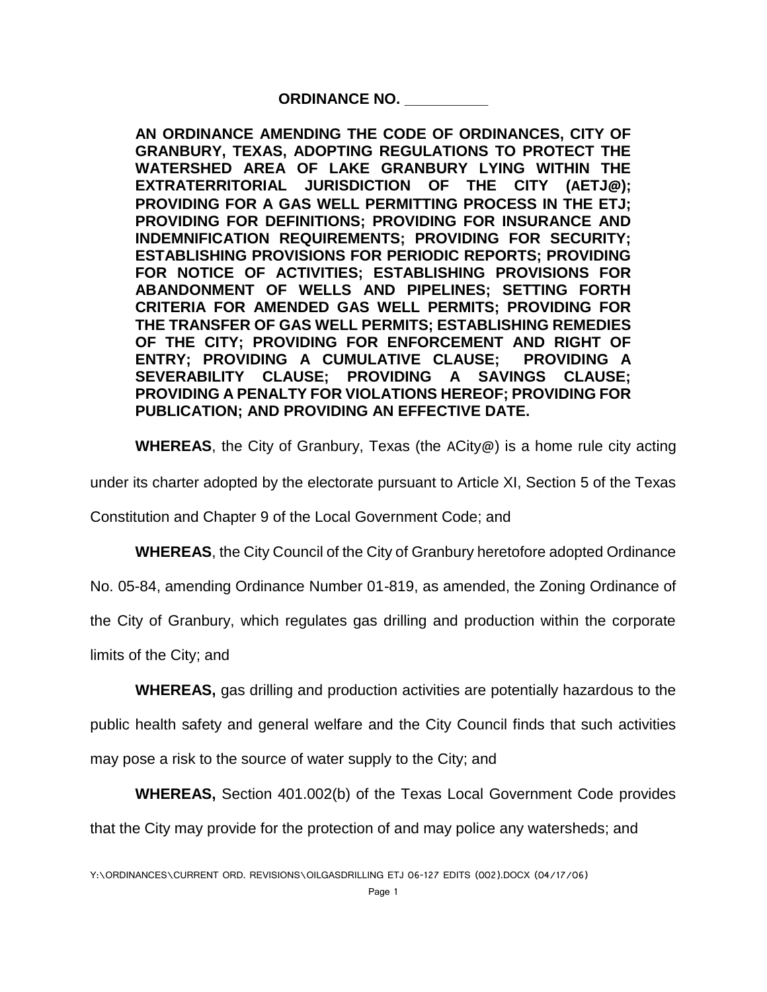**ORDINANCE NO. \_\_\_\_\_\_\_\_\_\_**

**AN ORDINANCE AMENDING THE CODE OF ORDINANCES, CITY OF GRANBURY, TEXAS, ADOPTING REGULATIONS TO PROTECT THE WATERSHED AREA OF LAKE GRANBURY LYING WITHIN THE EXTRATERRITORIAL JURISDICTION OF THE CITY (AETJ@); PROVIDING FOR A GAS WELL PERMITTING PROCESS IN THE ETJ; PROVIDING FOR DEFINITIONS; PROVIDING FOR INSURANCE AND INDEMNIFICATION REQUIREMENTS; PROVIDING FOR SECURITY; ESTABLISHING PROVISIONS FOR PERIODIC REPORTS; PROVIDING FOR NOTICE OF ACTIVITIES; ESTABLISHING PROVISIONS FOR ABANDONMENT OF WELLS AND PIPELINES; SETTING FORTH CRITERIA FOR AMENDED GAS WELL PERMITS; PROVIDING FOR THE TRANSFER OF GAS WELL PERMITS; ESTABLISHING REMEDIES OF THE CITY; PROVIDING FOR ENFORCEMENT AND RIGHT OF ENTRY; PROVIDING A CUMULATIVE CLAUSE; PROVIDING A SEVERABILITY CLAUSE; PROVIDING A SAVINGS CLAUSE; PROVIDING A PENALTY FOR VIOLATIONS HEREOF; PROVIDING FOR PUBLICATION; AND PROVIDING AN EFFECTIVE DATE.**

**WHEREAS**, the City of Granbury, Texas (the ACity@) is a home rule city acting

under its charter adopted by the electorate pursuant to Article XI, Section 5 of the Texas

Constitution and Chapter 9 of the Local Government Code; and

**WHEREAS**, the City Council of the City of Granbury heretofore adopted Ordinance

No. 05-84, amending Ordinance Number 01-819, as amended, the Zoning Ordinance of

the City of Granbury, which regulates gas drilling and production within the corporate

limits of the City; and

**WHEREAS,** gas drilling and production activities are potentially hazardous to the

public health safety and general welfare and the City Council finds that such activities

may pose a risk to the source of water supply to the City; and

**WHEREAS,** Section 401.002(b) of the Texas Local Government Code provides

that the City may provide for the protection of and may police any watersheds; and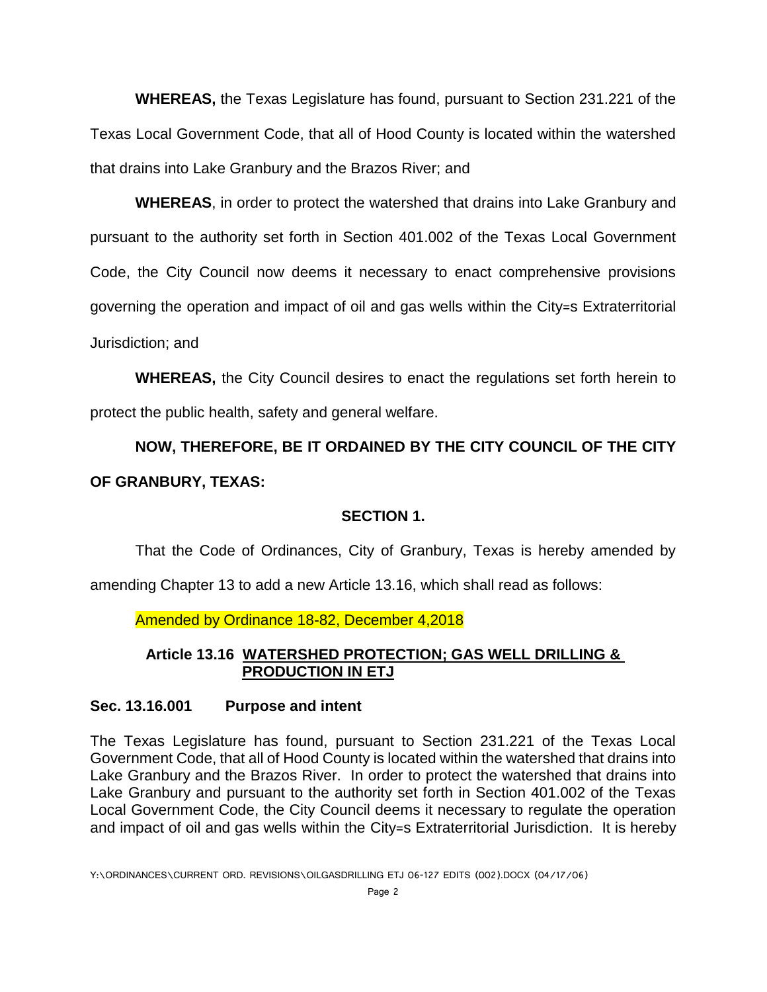**WHEREAS,** the Texas Legislature has found, pursuant to Section 231.221 of the Texas Local Government Code, that all of Hood County is located within the watershed that drains into Lake Granbury and the Brazos River; and

**WHEREAS**, in order to protect the watershed that drains into Lake Granbury and pursuant to the authority set forth in Section 401.002 of the Texas Local Government Code, the City Council now deems it necessary to enact comprehensive provisions governing the operation and impact of oil and gas wells within the City=s Extraterritorial Jurisdiction; and

**WHEREAS,** the City Council desires to enact the regulations set forth herein to protect the public health, safety and general welfare.

# **NOW, THEREFORE, BE IT ORDAINED BY THE CITY COUNCIL OF THE CITY OF GRANBURY, TEXAS:**

### **SECTION 1.**

That the Code of Ordinances, City of Granbury, Texas is hereby amended by

amending Chapter 13 to add a new Article 13.16, which shall read as follows:

Amended by Ordinance 18-82, December 4,2018

### **Article 13.16 WATERSHED PROTECTION; GAS WELL DRILLING & PRODUCTION IN ETJ**

#### **Sec. 13.16.001 Purpose and intent**

The Texas Legislature has found, pursuant to Section 231.221 of the Texas Local Government Code, that all of Hood County is located within the watershed that drains into Lake Granbury and the Brazos River. In order to protect the watershed that drains into Lake Granbury and pursuant to the authority set forth in Section 401.002 of the Texas Local Government Code, the City Council deems it necessary to regulate the operation and impact of oil and gas wells within the City=s Extraterritorial Jurisdiction. It is hereby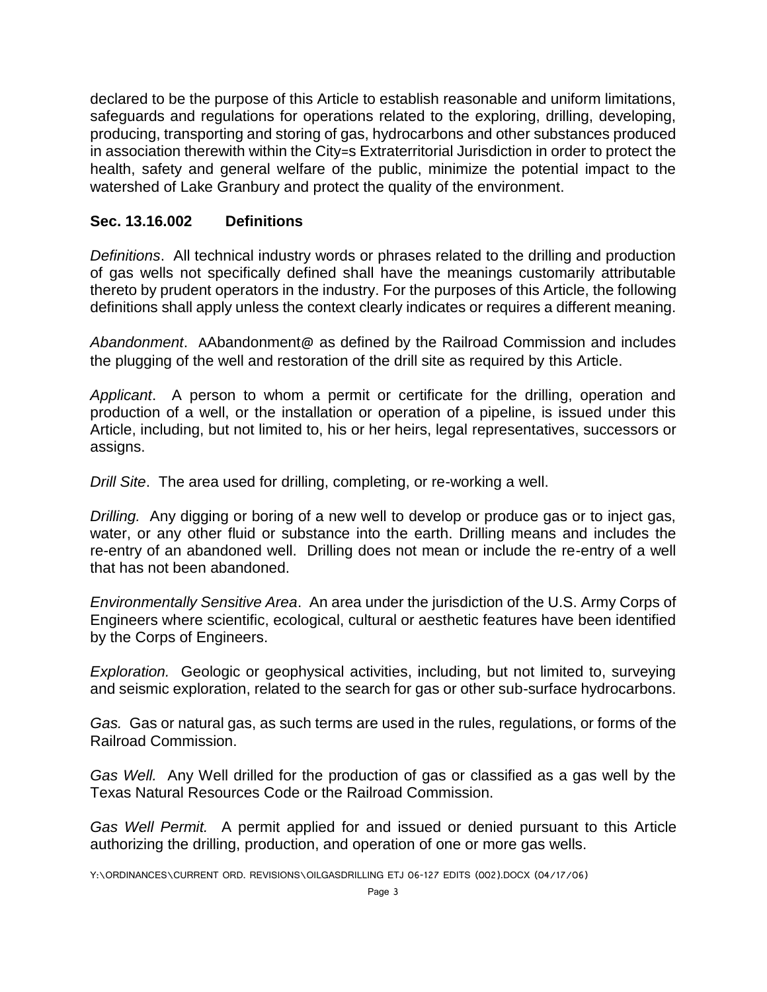declared to be the purpose of this Article to establish reasonable and uniform limitations, safeguards and regulations for operations related to the exploring, drilling, developing, producing, transporting and storing of gas, hydrocarbons and other substances produced in association therewith within the City=s Extraterritorial Jurisdiction in order to protect the health, safety and general welfare of the public, minimize the potential impact to the watershed of Lake Granbury and protect the quality of the environment.

#### **Sec. 13.16.002 Definitions**

*Definitions*. All technical industry words or phrases related to the drilling and production of gas wells not specifically defined shall have the meanings customarily attributable thereto by prudent operators in the industry. For the purposes of this Article, the following definitions shall apply unless the context clearly indicates or requires a different meaning.

*Abandonment*. AAbandonment@ as defined by the Railroad Commission and includes the plugging of the well and restoration of the drill site as required by this Article.

*Applicant*. A person to whom a permit or certificate for the drilling, operation and production of a well, or the installation or operation of a pipeline, is issued under this Article, including, but not limited to, his or her heirs, legal representatives, successors or assigns.

*Drill Site*. The area used for drilling, completing, or re-working a well.

*Drilling.* Any digging or boring of a new well to develop or produce gas or to inject gas, water, or any other fluid or substance into the earth. Drilling means and includes the re-entry of an abandoned well. Drilling does not mean or include the re-entry of a well that has not been abandoned.

*Environmentally Sensitive Area*. An area under the jurisdiction of the U.S. Army Corps of Engineers where scientific, ecological, cultural or aesthetic features have been identified by the Corps of Engineers.

*Exploration.* Geologic or geophysical activities, including, but not limited to, surveying and seismic exploration, related to the search for gas or other sub-surface hydrocarbons.

*Gas.* Gas or natural gas, as such terms are used in the rules, regulations, or forms of the Railroad Commission.

*Gas Well.* Any Well drilled for the production of gas or classified as a gas well by the Texas Natural Resources Code or the Railroad Commission.

*Gas Well Permit.* A permit applied for and issued or denied pursuant to this Article authorizing the drilling, production, and operation of one or more gas wells.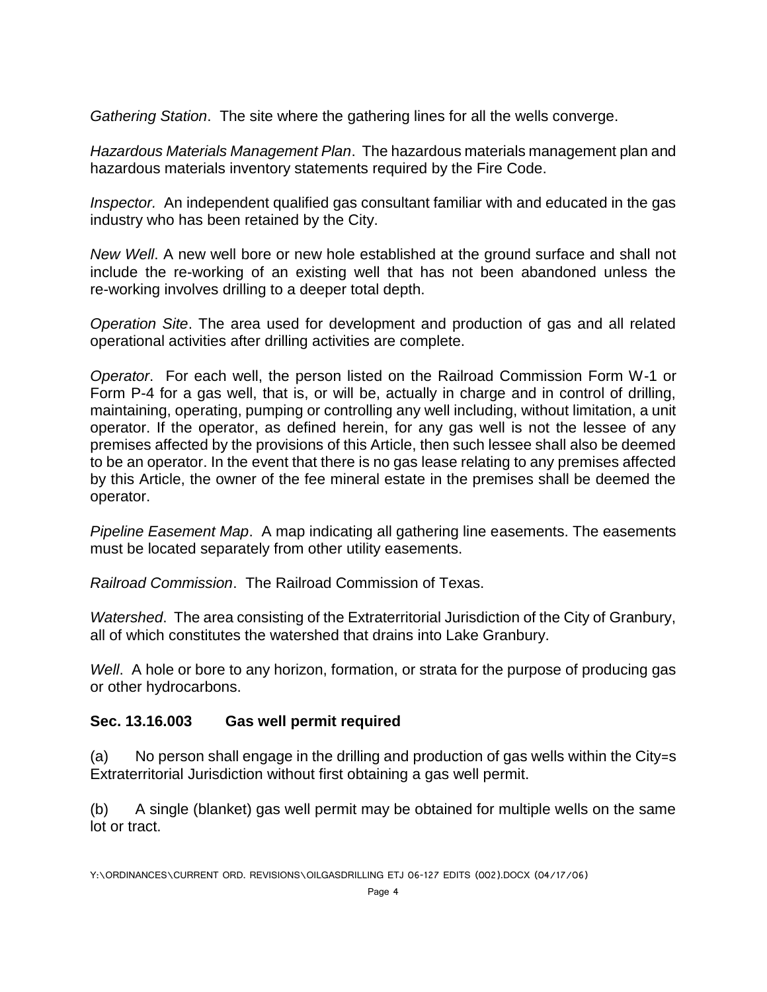*Gathering Station*. The site where the gathering lines for all the wells converge.

*Hazardous Materials Management Plan*. The hazardous materials management plan and hazardous materials inventory statements required by the Fire Code.

*Inspector.* An independent qualified gas consultant familiar with and educated in the gas industry who has been retained by the City.

*New Well*. A new well bore or new hole established at the ground surface and shall not include the re-working of an existing well that has not been abandoned unless the re-working involves drilling to a deeper total depth.

*Operation Site*. The area used for development and production of gas and all related operational activities after drilling activities are complete.

*Operator*. For each well, the person listed on the Railroad Commission Form W-1 or Form P-4 for a gas well, that is, or will be, actually in charge and in control of drilling, maintaining, operating, pumping or controlling any well including, without limitation, a unit operator. If the operator, as defined herein, for any gas well is not the lessee of any premises affected by the provisions of this Article, then such lessee shall also be deemed to be an operator. In the event that there is no gas lease relating to any premises affected by this Article, the owner of the fee mineral estate in the premises shall be deemed the operator.

*Pipeline Easement Map*. A map indicating all gathering line easements. The easements must be located separately from other utility easements.

*Railroad Commission*. The Railroad Commission of Texas.

*Watershed*. The area consisting of the Extraterritorial Jurisdiction of the City of Granbury, all of which constitutes the watershed that drains into Lake Granbury.

*Well*. A hole or bore to any horizon, formation, or strata for the purpose of producing gas or other hydrocarbons.

### **Sec. 13.16.003 Gas well permit required**

(a) No person shall engage in the drilling and production of gas wells within the City=s Extraterritorial Jurisdiction without first obtaining a gas well permit.

(b) A single (blanket) gas well permit may be obtained for multiple wells on the same lot or tract.

Y:\ORDINANCES\CURRENT ORD. REVISIONS\OILGASDRILLING ETJ 06-127 EDITS (002).DOCX (04/17/06)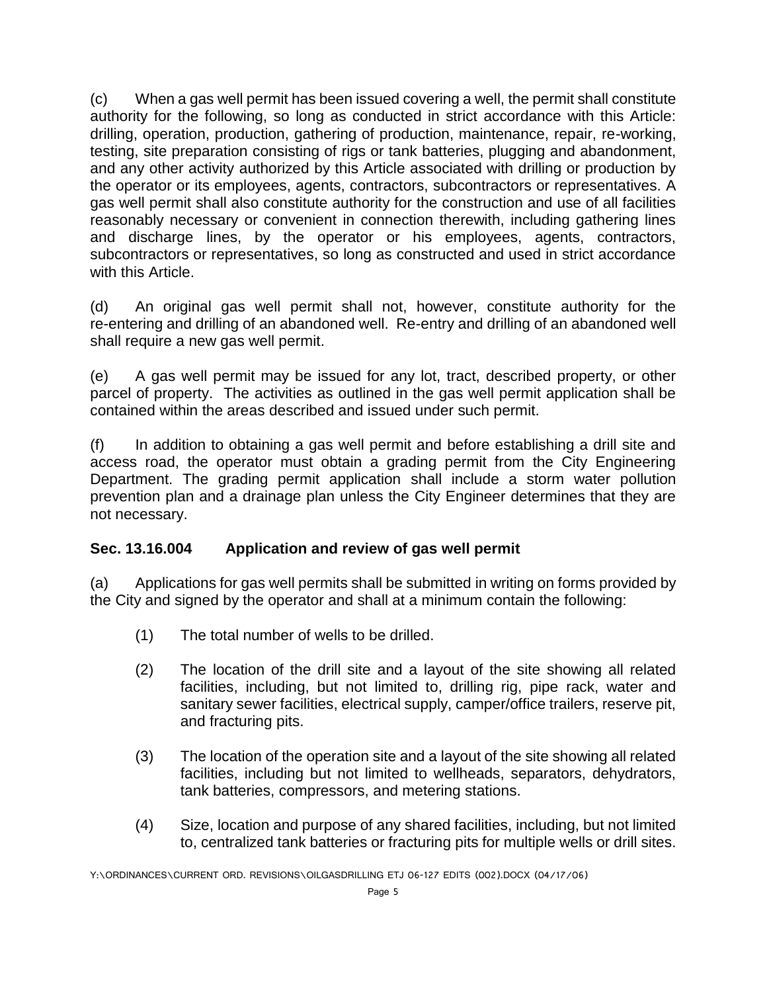(c) When a gas well permit has been issued covering a well, the permit shall constitute authority for the following, so long as conducted in strict accordance with this Article: drilling, operation, production, gathering of production, maintenance, repair, re-working, testing, site preparation consisting of rigs or tank batteries, plugging and abandonment, and any other activity authorized by this Article associated with drilling or production by the operator or its employees, agents, contractors, subcontractors or representatives. A gas well permit shall also constitute authority for the construction and use of all facilities reasonably necessary or convenient in connection therewith, including gathering lines and discharge lines, by the operator or his employees, agents, contractors, subcontractors or representatives, so long as constructed and used in strict accordance with this Article.

(d) An original gas well permit shall not, however, constitute authority for the re-entering and drilling of an abandoned well. Re-entry and drilling of an abandoned well shall require a new gas well permit.

(e) A gas well permit may be issued for any lot, tract, described property, or other parcel of property. The activities as outlined in the gas well permit application shall be contained within the areas described and issued under such permit.

(f) In addition to obtaining a gas well permit and before establishing a drill site and access road, the operator must obtain a grading permit from the City Engineering Department. The grading permit application shall include a storm water pollution prevention plan and a drainage plan unless the City Engineer determines that they are not necessary.

### **Sec. 13.16.004 Application and review of gas well permit**

(a) Applications for gas well permits shall be submitted in writing on forms provided by the City and signed by the operator and shall at a minimum contain the following:

- (1) The total number of wells to be drilled.
- (2) The location of the drill site and a layout of the site showing all related facilities, including, but not limited to, drilling rig, pipe rack, water and sanitary sewer facilities, electrical supply, camper/office trailers, reserve pit, and fracturing pits.
- (3) The location of the operation site and a layout of the site showing all related facilities, including but not limited to wellheads, separators, dehydrators, tank batteries, compressors, and metering stations.
- (4) Size, location and purpose of any shared facilities, including, but not limited to, centralized tank batteries or fracturing pits for multiple wells or drill sites.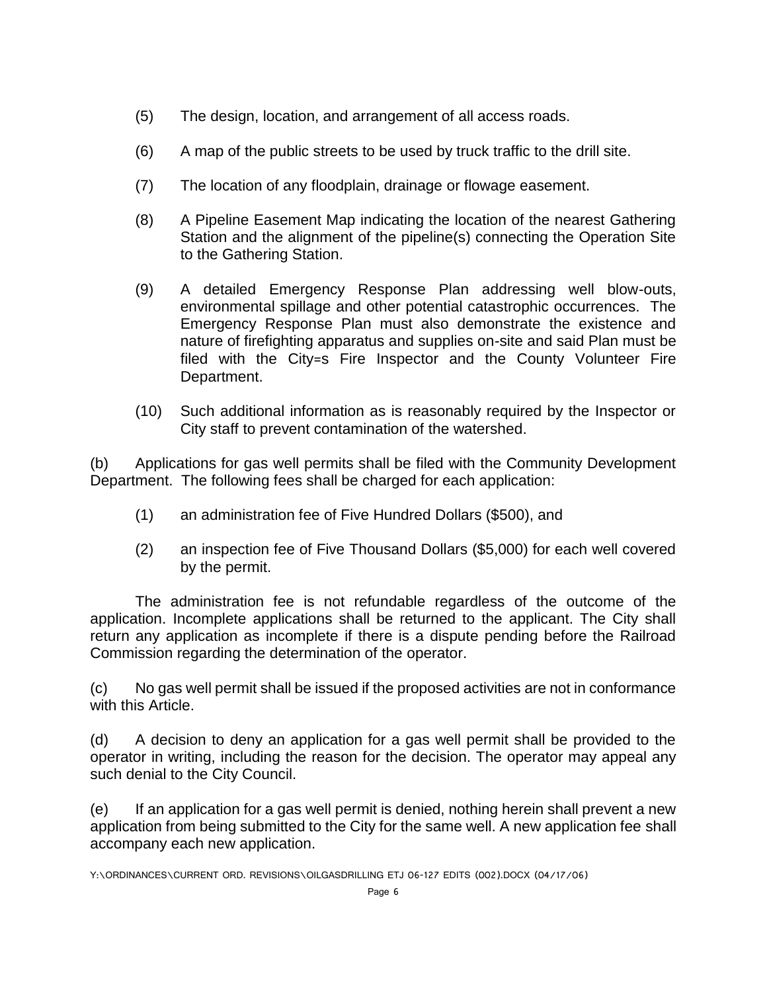- (5) The design, location, and arrangement of all access roads.
- (6) A map of the public streets to be used by truck traffic to the drill site.
- (7) The location of any floodplain, drainage or flowage easement.
- (8) A Pipeline Easement Map indicating the location of the nearest Gathering Station and the alignment of the pipeline(s) connecting the Operation Site to the Gathering Station.
- (9) A detailed Emergency Response Plan addressing well blow-outs, environmental spillage and other potential catastrophic occurrences. The Emergency Response Plan must also demonstrate the existence and nature of firefighting apparatus and supplies on-site and said Plan must be filed with the City=s Fire Inspector and the County Volunteer Fire Department.
- (10) Such additional information as is reasonably required by the Inspector or City staff to prevent contamination of the watershed.

(b) Applications for gas well permits shall be filed with the Community Development Department. The following fees shall be charged for each application:

- (1) an administration fee of Five Hundred Dollars (\$500), and
- (2) an inspection fee of Five Thousand Dollars (\$5,000) for each well covered by the permit.

The administration fee is not refundable regardless of the outcome of the application. Incomplete applications shall be returned to the applicant. The City shall return any application as incomplete if there is a dispute pending before the Railroad Commission regarding the determination of the operator.

(c) No gas well permit shall be issued if the proposed activities are not in conformance with this Article.

(d) A decision to deny an application for a gas well permit shall be provided to the operator in writing, including the reason for the decision. The operator may appeal any such denial to the City Council.

(e) If an application for a gas well permit is denied, nothing herein shall prevent a new application from being submitted to the City for the same well. A new application fee shall accompany each new application.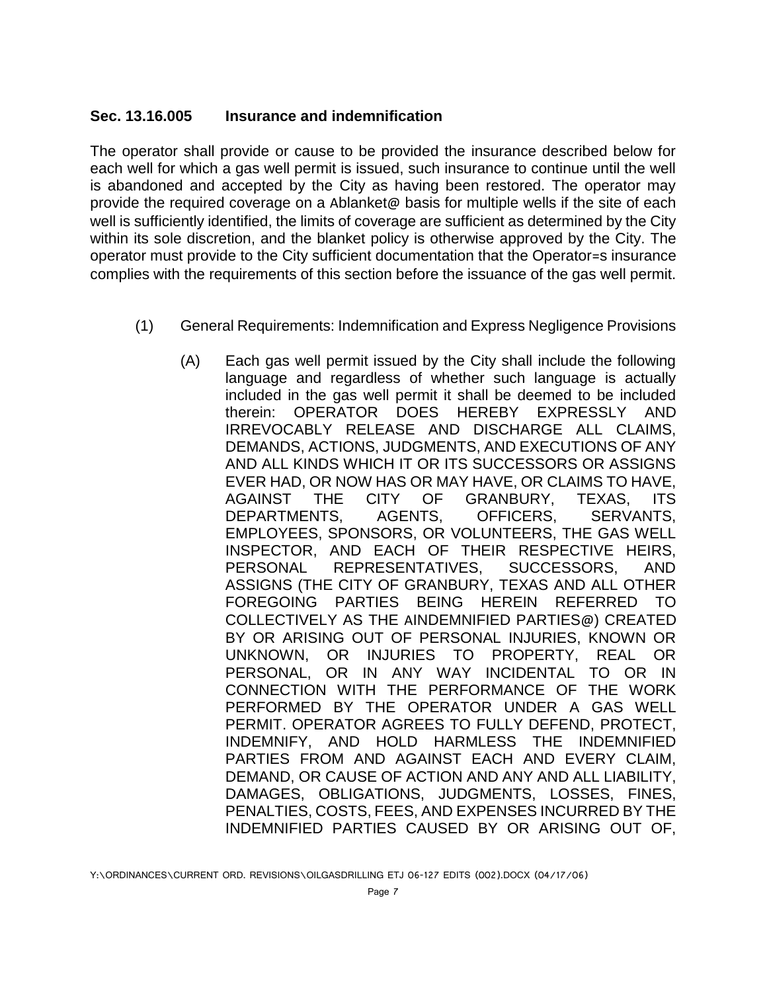#### **Sec. 13.16.005 Insurance and indemnification**

The operator shall provide or cause to be provided the insurance described below for each well for which a gas well permit is issued, such insurance to continue until the well is abandoned and accepted by the City as having been restored. The operator may provide the required coverage on a Ablanket@ basis for multiple wells if the site of each well is sufficiently identified, the limits of coverage are sufficient as determined by the City within its sole discretion, and the blanket policy is otherwise approved by the City. The operator must provide to the City sufficient documentation that the Operator=s insurance complies with the requirements of this section before the issuance of the gas well permit.

- (1) General Requirements: Indemnification and Express Negligence Provisions
	- (A) Each gas well permit issued by the City shall include the following language and regardless of whether such language is actually included in the gas well permit it shall be deemed to be included therein: OPERATOR DOES HEREBY EXPRESSLY AND IRREVOCABLY RELEASE AND DISCHARGE ALL CLAIMS, DEMANDS, ACTIONS, JUDGMENTS, AND EXECUTIONS OF ANY AND ALL KINDS WHICH IT OR ITS SUCCESSORS OR ASSIGNS EVER HAD, OR NOW HAS OR MAY HAVE, OR CLAIMS TO HAVE, AGAINST THE CITY OF GRANBURY, TEXAS, ITS DEPARTMENTS, AGENTS, OFFICERS, SERVANTS, EMPLOYEES, SPONSORS, OR VOLUNTEERS, THE GAS WELL INSPECTOR, AND EACH OF THEIR RESPECTIVE HEIRS, PERSONAL REPRESENTATIVES, SUCCESSORS, AND ASSIGNS (THE CITY OF GRANBURY, TEXAS AND ALL OTHER FOREGOING PARTIES BEING HEREIN REFERRED TO COLLECTIVELY AS THE AINDEMNIFIED PARTIES@) CREATED BY OR ARISING OUT OF PERSONAL INJURIES, KNOWN OR UNKNOWN, OR INJURIES TO PROPERTY, REAL OR PERSONAL, OR IN ANY WAY INCIDENTAL TO OR IN CONNECTION WITH THE PERFORMANCE OF THE WORK PERFORMED BY THE OPERATOR UNDER A GAS WELL PERMIT. OPERATOR AGREES TO FULLY DEFEND, PROTECT, INDEMNIFY, AND HOLD HARMLESS THE INDEMNIFIED PARTIES FROM AND AGAINST EACH AND EVERY CLAIM, DEMAND, OR CAUSE OF ACTION AND ANY AND ALL LIABILITY, DAMAGES, OBLIGATIONS, JUDGMENTS, LOSSES, FINES, PENALTIES, COSTS, FEES, AND EXPENSES INCURRED BY THE INDEMNIFIED PARTIES CAUSED BY OR ARISING OUT OF,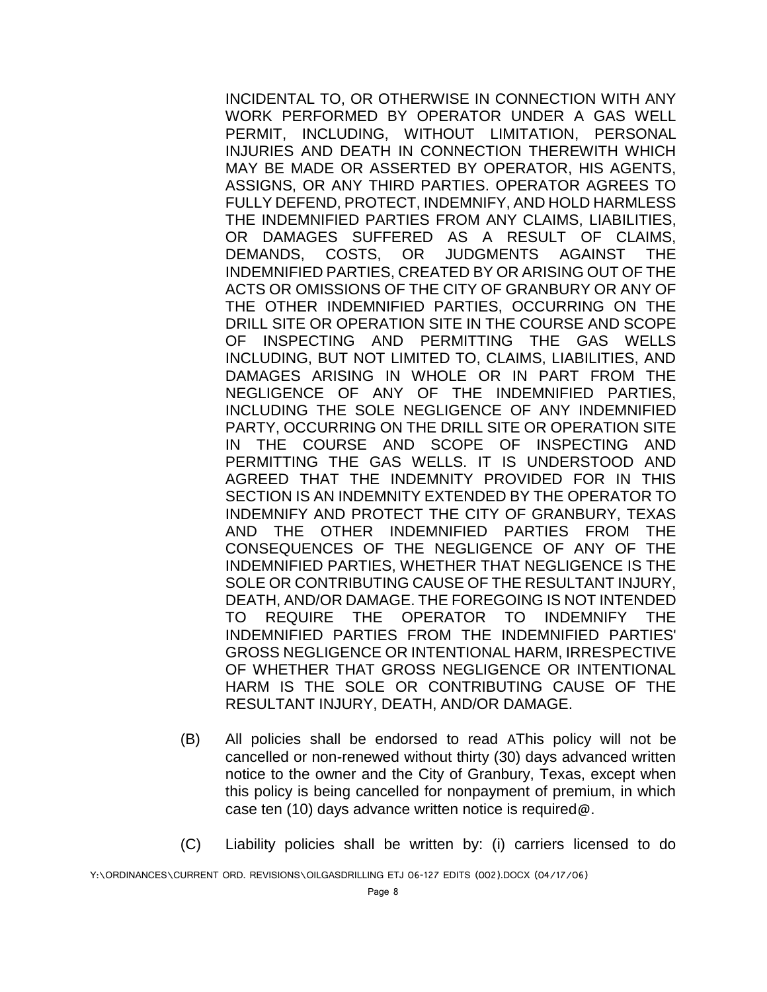INCIDENTAL TO, OR OTHERWISE IN CONNECTION WITH ANY WORK PERFORMED BY OPERATOR UNDER A GAS WELL PERMIT, INCLUDING, WITHOUT LIMITATION, PERSONAL INJURIES AND DEATH IN CONNECTION THEREWITH WHICH MAY BE MADE OR ASSERTED BY OPERATOR, HIS AGENTS, ASSIGNS, OR ANY THIRD PARTIES. OPERATOR AGREES TO FULLY DEFEND, PROTECT, INDEMNIFY, AND HOLD HARMLESS THE INDEMNIFIED PARTIES FROM ANY CLAIMS, LIABILITIES, OR DAMAGES SUFFERED AS A RESULT OF CLAIMS, DEMANDS, COSTS, OR JUDGMENTS AGAINST THE INDEMNIFIED PARTIES, CREATED BY OR ARISING OUT OF THE ACTS OR OMISSIONS OF THE CITY OF GRANBURY OR ANY OF THE OTHER INDEMNIFIED PARTIES, OCCURRING ON THE DRILL SITE OR OPERATION SITE IN THE COURSE AND SCOPE OF INSPECTING AND PERMITTING THE GAS WELLS INCLUDING, BUT NOT LIMITED TO, CLAIMS, LIABILITIES, AND DAMAGES ARISING IN WHOLE OR IN PART FROM THE NEGLIGENCE OF ANY OF THE INDEMNIFIED PARTIES, INCLUDING THE SOLE NEGLIGENCE OF ANY INDEMNIFIED PARTY, OCCURRING ON THE DRILL SITE OR OPERATION SITE IN THE COURSE AND SCOPE OF INSPECTING AND PERMITTING THE GAS WELLS. IT IS UNDERSTOOD AND AGREED THAT THE INDEMNITY PROVIDED FOR IN THIS SECTION IS AN INDEMNITY EXTENDED BY THE OPERATOR TO INDEMNIFY AND PROTECT THE CITY OF GRANBURY, TEXAS AND THE OTHER INDEMNIFIED PARTIES FROM THE CONSEQUENCES OF THE NEGLIGENCE OF ANY OF THE INDEMNIFIED PARTIES, WHETHER THAT NEGLIGENCE IS THE SOLE OR CONTRIBUTING CAUSE OF THE RESULTANT INJURY, DEATH, AND/OR DAMAGE. THE FOREGOING IS NOT INTENDED TO REQUIRE THE OPERATOR TO INDEMNIFY THE INDEMNIFIED PARTIES FROM THE INDEMNIFIED PARTIES' GROSS NEGLIGENCE OR INTENTIONAL HARM, IRRESPECTIVE OF WHETHER THAT GROSS NEGLIGENCE OR INTENTIONAL HARM IS THE SOLE OR CONTRIBUTING CAUSE OF THE RESULTANT INJURY, DEATH, AND/OR DAMAGE.

- (B) All policies shall be endorsed to read AThis policy will not be cancelled or non-renewed without thirty (30) days advanced written notice to the owner and the City of Granbury, Texas, except when this policy is being cancelled for nonpayment of premium, in which case ten (10) days advance written notice is required@.
- (C) Liability policies shall be written by: (i) carriers licensed to do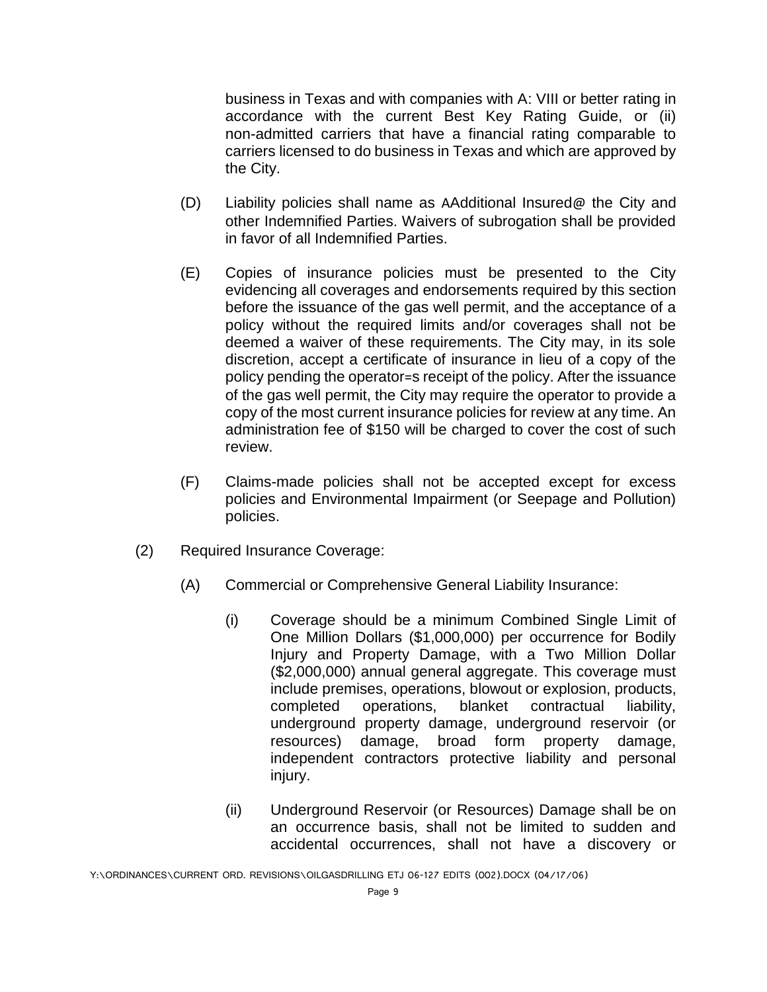business in Texas and with companies with A: VIII or better rating in accordance with the current Best Key Rating Guide, or (ii) non-admitted carriers that have a financial rating comparable to carriers licensed to do business in Texas and which are approved by the City.

- (D) Liability policies shall name as AAdditional Insured@ the City and other Indemnified Parties. Waivers of subrogation shall be provided in favor of all Indemnified Parties.
- (E) Copies of insurance policies must be presented to the City evidencing all coverages and endorsements required by this section before the issuance of the gas well permit, and the acceptance of a policy without the required limits and/or coverages shall not be deemed a waiver of these requirements. The City may, in its sole discretion, accept a certificate of insurance in lieu of a copy of the policy pending the operator=s receipt of the policy. After the issuance of the gas well permit, the City may require the operator to provide a copy of the most current insurance policies for review at any time. An administration fee of \$150 will be charged to cover the cost of such review.
- (F) Claims-made policies shall not be accepted except for excess policies and Environmental Impairment (or Seepage and Pollution) policies.
- (2) Required Insurance Coverage:
	- (A) Commercial or Comprehensive General Liability Insurance:
		- (i) Coverage should be a minimum Combined Single Limit of One Million Dollars (\$1,000,000) per occurrence for Bodily Injury and Property Damage, with a Two Million Dollar (\$2,000,000) annual general aggregate. This coverage must include premises, operations, blowout or explosion, products, completed operations, blanket contractual liability, underground property damage, underground reservoir (or resources) damage, broad form property damage, independent contractors protective liability and personal injury.
		- (ii) Underground Reservoir (or Resources) Damage shall be on an occurrence basis, shall not be limited to sudden and accidental occurrences, shall not have a discovery or

Y:\ORDINANCES\CURRENT ORD. REVISIONS\OILGASDRILLING ETJ 06-127 EDITS (002).DOCX (04/17/06)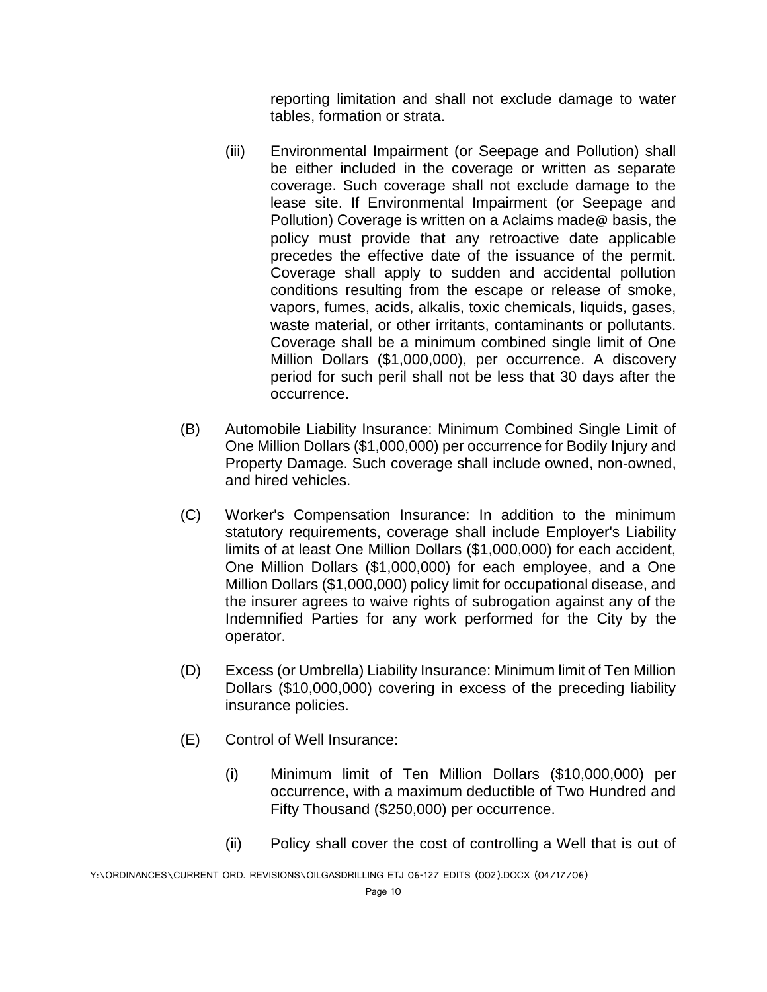reporting limitation and shall not exclude damage to water tables, formation or strata.

- (iii) Environmental Impairment (or Seepage and Pollution) shall be either included in the coverage or written as separate coverage. Such coverage shall not exclude damage to the lease site. If Environmental Impairment (or Seepage and Pollution) Coverage is written on a Aclaims made@ basis, the policy must provide that any retroactive date applicable precedes the effective date of the issuance of the permit. Coverage shall apply to sudden and accidental pollution conditions resulting from the escape or release of smoke, vapors, fumes, acids, alkalis, toxic chemicals, liquids, gases, waste material, or other irritants, contaminants or pollutants. Coverage shall be a minimum combined single limit of One Million Dollars (\$1,000,000), per occurrence. A discovery period for such peril shall not be less that 30 days after the occurrence.
- (B) Automobile Liability Insurance: Minimum Combined Single Limit of One Million Dollars (\$1,000,000) per occurrence for Bodily Injury and Property Damage. Such coverage shall include owned, non-owned, and hired vehicles.
- (C) Worker's Compensation Insurance: In addition to the minimum statutory requirements, coverage shall include Employer's Liability limits of at least One Million Dollars (\$1,000,000) for each accident, One Million Dollars (\$1,000,000) for each employee, and a One Million Dollars (\$1,000,000) policy limit for occupational disease, and the insurer agrees to waive rights of subrogation against any of the Indemnified Parties for any work performed for the City by the operator.
- (D) Excess (or Umbrella) Liability Insurance: Minimum limit of Ten Million Dollars (\$10,000,000) covering in excess of the preceding liability insurance policies.
- (E) Control of Well Insurance:
	- (i) Minimum limit of Ten Million Dollars (\$10,000,000) per occurrence, with a maximum deductible of Two Hundred and Fifty Thousand (\$250,000) per occurrence.
	- (ii) Policy shall cover the cost of controlling a Well that is out of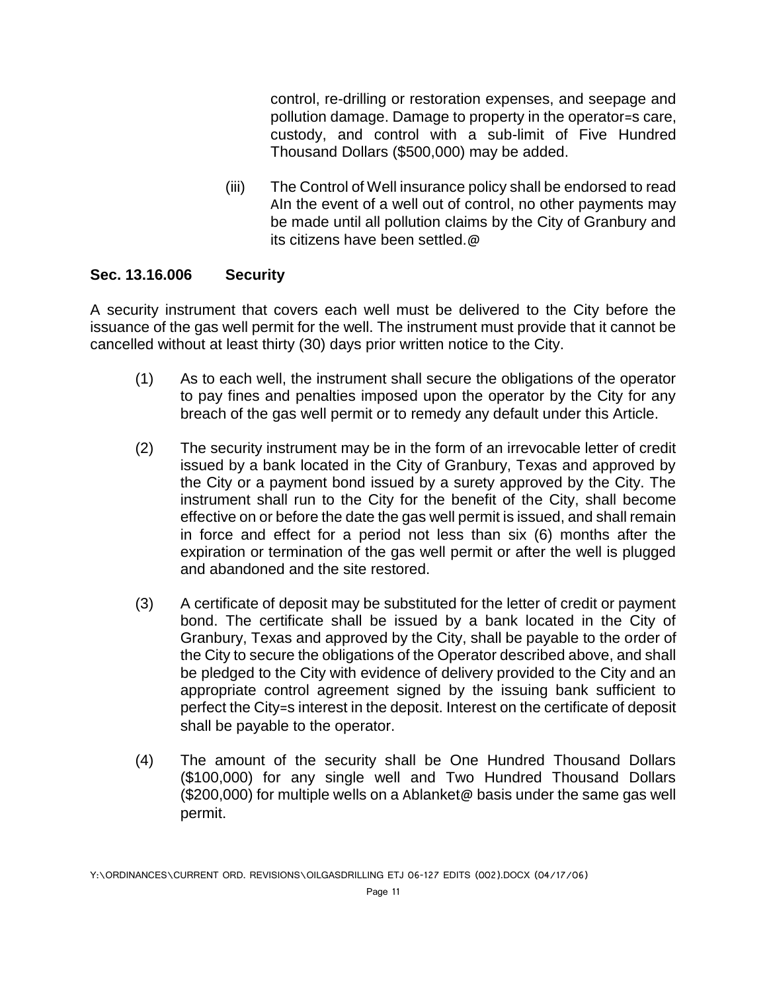control, re-drilling or restoration expenses, and seepage and pollution damage. Damage to property in the operator=s care, custody, and control with a sub-limit of Five Hundred Thousand Dollars (\$500,000) may be added.

(iii) The Control of Well insurance policy shall be endorsed to read AIn the event of a well out of control, no other payments may be made until all pollution claims by the City of Granbury and its citizens have been settled.@

#### **Sec. 13.16.006 Security**

A security instrument that covers each well must be delivered to the City before the issuance of the gas well permit for the well. The instrument must provide that it cannot be cancelled without at least thirty (30) days prior written notice to the City.

- (1) As to each well, the instrument shall secure the obligations of the operator to pay fines and penalties imposed upon the operator by the City for any breach of the gas well permit or to remedy any default under this Article.
- (2) The security instrument may be in the form of an irrevocable letter of credit issued by a bank located in the City of Granbury, Texas and approved by the City or a payment bond issued by a surety approved by the City. The instrument shall run to the City for the benefit of the City, shall become effective on or before the date the gas well permit is issued, and shall remain in force and effect for a period not less than six (6) months after the expiration or termination of the gas well permit or after the well is plugged and abandoned and the site restored.
- (3) A certificate of deposit may be substituted for the letter of credit or payment bond. The certificate shall be issued by a bank located in the City of Granbury, Texas and approved by the City, shall be payable to the order of the City to secure the obligations of the Operator described above, and shall be pledged to the City with evidence of delivery provided to the City and an appropriate control agreement signed by the issuing bank sufficient to perfect the City=s interest in the deposit. Interest on the certificate of deposit shall be payable to the operator.
- (4) The amount of the security shall be One Hundred Thousand Dollars (\$100,000) for any single well and Two Hundred Thousand Dollars (\$200,000) for multiple wells on a Ablanket@ basis under the same gas well permit.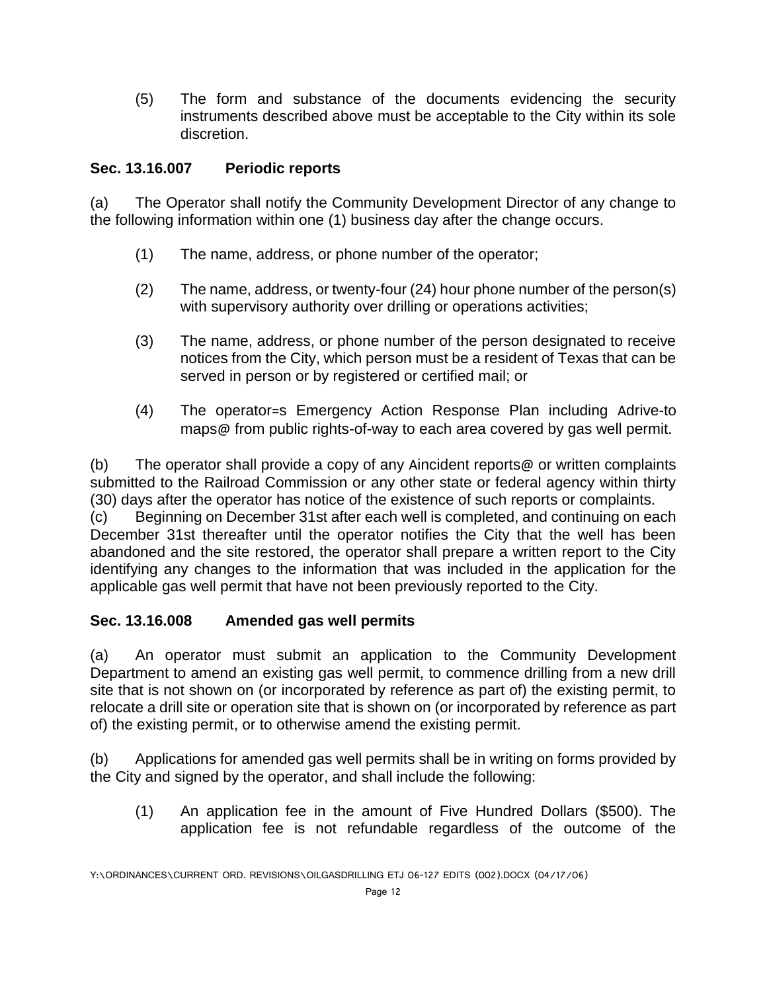(5) The form and substance of the documents evidencing the security instruments described above must be acceptable to the City within its sole discretion.

### **Sec. 13.16.007 Periodic reports**

(a) The Operator shall notify the Community Development Director of any change to the following information within one (1) business day after the change occurs.

- (1) The name, address, or phone number of the operator;
- (2) The name, address, or twenty-four (24) hour phone number of the person(s) with supervisory authority over drilling or operations activities;
- (3) The name, address, or phone number of the person designated to receive notices from the City, which person must be a resident of Texas that can be served in person or by registered or certified mail; or
- (4) The operator=s Emergency Action Response Plan including Adrive-to maps@ from public rights-of-way to each area covered by gas well permit.

(b) The operator shall provide a copy of any Aincident reports@ or written complaints submitted to the Railroad Commission or any other state or federal agency within thirty (30) days after the operator has notice of the existence of such reports or complaints. (c) Beginning on December 31st after each well is completed, and continuing on each

December 31st thereafter until the operator notifies the City that the well has been abandoned and the site restored, the operator shall prepare a written report to the City identifying any changes to the information that was included in the application for the applicable gas well permit that have not been previously reported to the City.

# **Sec. 13.16.008 Amended gas well permits**

(a) An operator must submit an application to the Community Development Department to amend an existing gas well permit, to commence drilling from a new drill site that is not shown on (or incorporated by reference as part of) the existing permit, to relocate a drill site or operation site that is shown on (or incorporated by reference as part of) the existing permit, or to otherwise amend the existing permit.

(b) Applications for amended gas well permits shall be in writing on forms provided by the City and signed by the operator, and shall include the following:

(1) An application fee in the amount of Five Hundred Dollars (\$500). The application fee is not refundable regardless of the outcome of the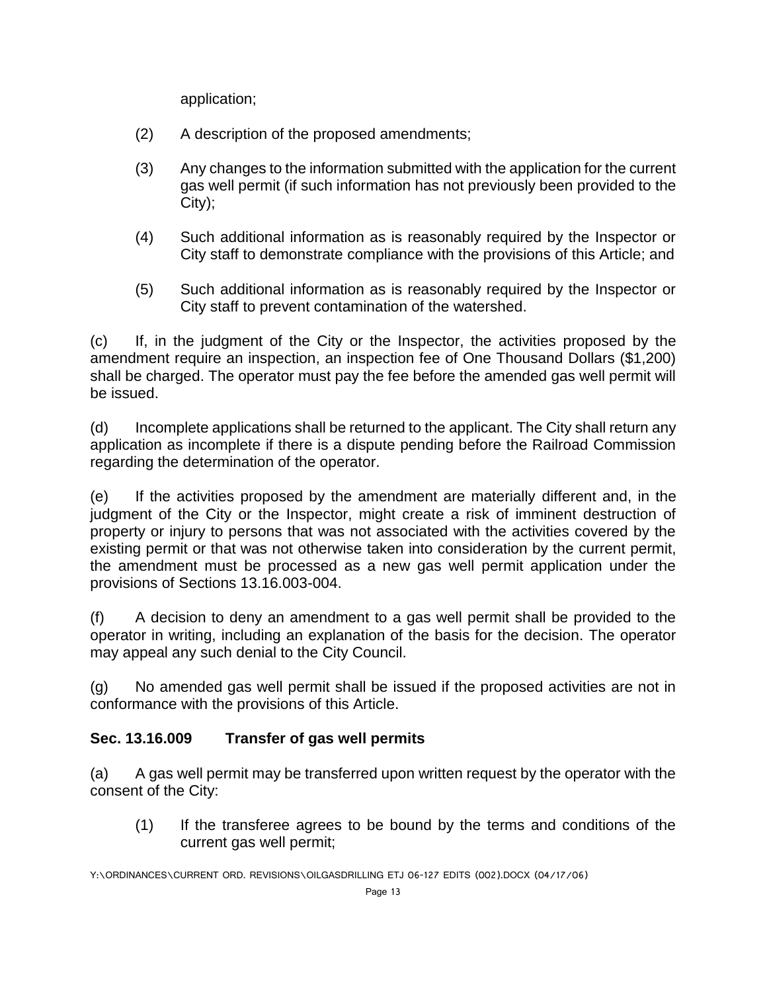application;

- (2) A description of the proposed amendments;
- (3) Any changes to the information submitted with the application for the current gas well permit (if such information has not previously been provided to the City);
- (4) Such additional information as is reasonably required by the Inspector or City staff to demonstrate compliance with the provisions of this Article; and
- (5) Such additional information as is reasonably required by the Inspector or City staff to prevent contamination of the watershed.

(c) If, in the judgment of the City or the Inspector, the activities proposed by the amendment require an inspection, an inspection fee of One Thousand Dollars (\$1,200) shall be charged. The operator must pay the fee before the amended gas well permit will be issued.

(d) Incomplete applications shall be returned to the applicant. The City shall return any application as incomplete if there is a dispute pending before the Railroad Commission regarding the determination of the operator.

(e) If the activities proposed by the amendment are materially different and, in the judgment of the City or the Inspector, might create a risk of imminent destruction of property or injury to persons that was not associated with the activities covered by the existing permit or that was not otherwise taken into consideration by the current permit, the amendment must be processed as a new gas well permit application under the provisions of Sections 13.16.003-004.

(f) A decision to deny an amendment to a gas well permit shall be provided to the operator in writing, including an explanation of the basis for the decision. The operator may appeal any such denial to the City Council.

(g) No amended gas well permit shall be issued if the proposed activities are not in conformance with the provisions of this Article.

# **Sec. 13.16.009 Transfer of gas well permits**

(a) A gas well permit may be transferred upon written request by the operator with the consent of the City:

(1) If the transferee agrees to be bound by the terms and conditions of the current gas well permit;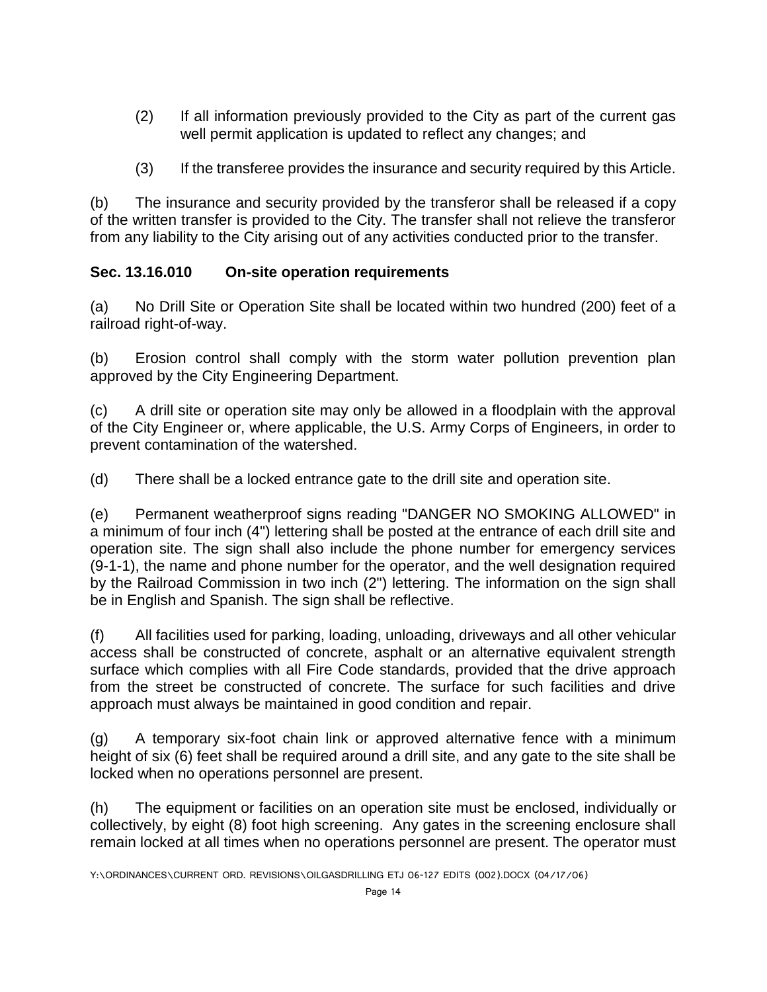- (2) If all information previously provided to the City as part of the current gas well permit application is updated to reflect any changes; and
- (3) If the transferee provides the insurance and security required by this Article.

(b) The insurance and security provided by the transferor shall be released if a copy of the written transfer is provided to the City. The transfer shall not relieve the transferor from any liability to the City arising out of any activities conducted prior to the transfer.

# **Sec. 13.16.010 On-site operation requirements**

(a) No Drill Site or Operation Site shall be located within two hundred (200) feet of a railroad right-of-way.

(b) Erosion control shall comply with the storm water pollution prevention plan approved by the City Engineering Department.

(c) A drill site or operation site may only be allowed in a floodplain with the approval of the City Engineer or, where applicable, the U.S. Army Corps of Engineers, in order to prevent contamination of the watershed.

(d) There shall be a locked entrance gate to the drill site and operation site.

(e) Permanent weatherproof signs reading "DANGER NO SMOKING ALLOWED" in a minimum of four inch (4") lettering shall be posted at the entrance of each drill site and operation site. The sign shall also include the phone number for emergency services (9-1-1), the name and phone number for the operator, and the well designation required by the Railroad Commission in two inch (2") lettering. The information on the sign shall be in English and Spanish. The sign shall be reflective.

(f) All facilities used for parking, loading, unloading, driveways and all other vehicular access shall be constructed of concrete, asphalt or an alternative equivalent strength surface which complies with all Fire Code standards, provided that the drive approach from the street be constructed of concrete. The surface for such facilities and drive approach must always be maintained in good condition and repair.

(g) A temporary six-foot chain link or approved alternative fence with a minimum height of six (6) feet shall be required around a drill site, and any gate to the site shall be locked when no operations personnel are present.

(h) The equipment or facilities on an operation site must be enclosed, individually or collectively, by eight (8) foot high screening. Any gates in the screening enclosure shall remain locked at all times when no operations personnel are present. The operator must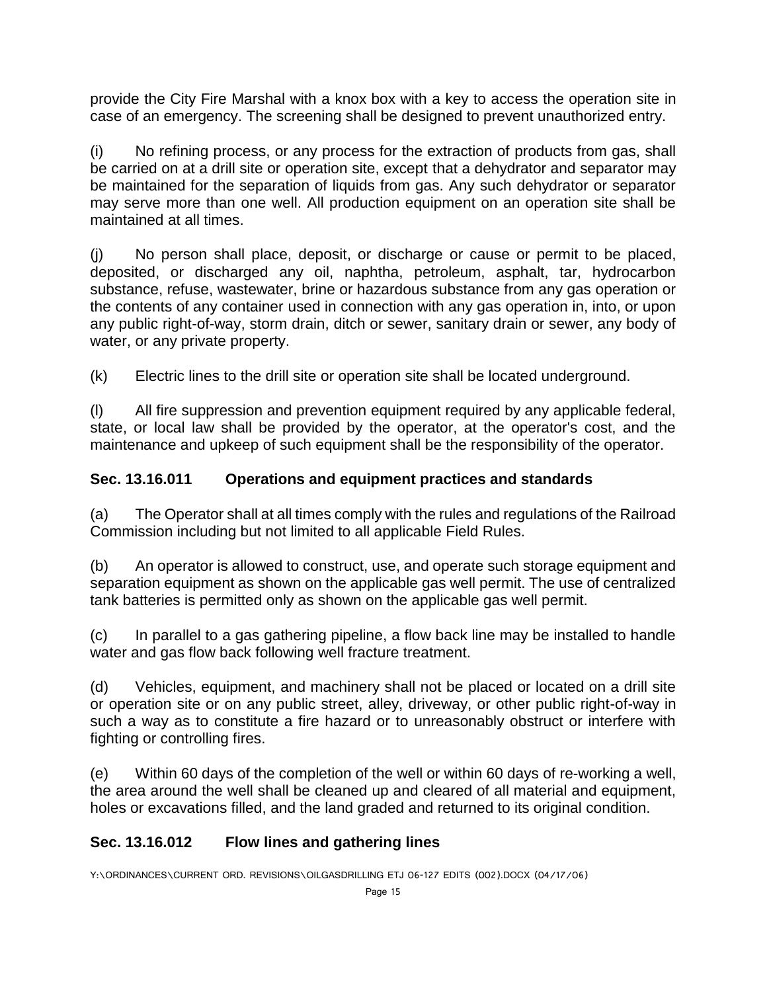provide the City Fire Marshal with a knox box with a key to access the operation site in case of an emergency. The screening shall be designed to prevent unauthorized entry.

(i) No refining process, or any process for the extraction of products from gas, shall be carried on at a drill site or operation site, except that a dehydrator and separator may be maintained for the separation of liquids from gas. Any such dehydrator or separator may serve more than one well. All production equipment on an operation site shall be maintained at all times.

(j) No person shall place, deposit, or discharge or cause or permit to be placed, deposited, or discharged any oil, naphtha, petroleum, asphalt, tar, hydrocarbon substance, refuse, wastewater, brine or hazardous substance from any gas operation or the contents of any container used in connection with any gas operation in, into, or upon any public right-of-way, storm drain, ditch or sewer, sanitary drain or sewer, any body of water, or any private property.

(k) Electric lines to the drill site or operation site shall be located underground.

(l) All fire suppression and prevention equipment required by any applicable federal, state, or local law shall be provided by the operator, at the operator's cost, and the maintenance and upkeep of such equipment shall be the responsibility of the operator.

# **Sec. 13.16.011 Operations and equipment practices and standards**

(a) The Operator shall at all times comply with the rules and regulations of the Railroad Commission including but not limited to all applicable Field Rules.

(b) An operator is allowed to construct, use, and operate such storage equipment and separation equipment as shown on the applicable gas well permit. The use of centralized tank batteries is permitted only as shown on the applicable gas well permit.

(c) In parallel to a gas gathering pipeline, a flow back line may be installed to handle water and gas flow back following well fracture treatment.

(d) Vehicles, equipment, and machinery shall not be placed or located on a drill site or operation site or on any public street, alley, driveway, or other public right-of-way in such a way as to constitute a fire hazard or to unreasonably obstruct or interfere with fighting or controlling fires.

(e) Within 60 days of the completion of the well or within 60 days of re-working a well, the area around the well shall be cleaned up and cleared of all material and equipment, holes or excavations filled, and the land graded and returned to its original condition.

# **Sec. 13.16.012 Flow lines and gathering lines**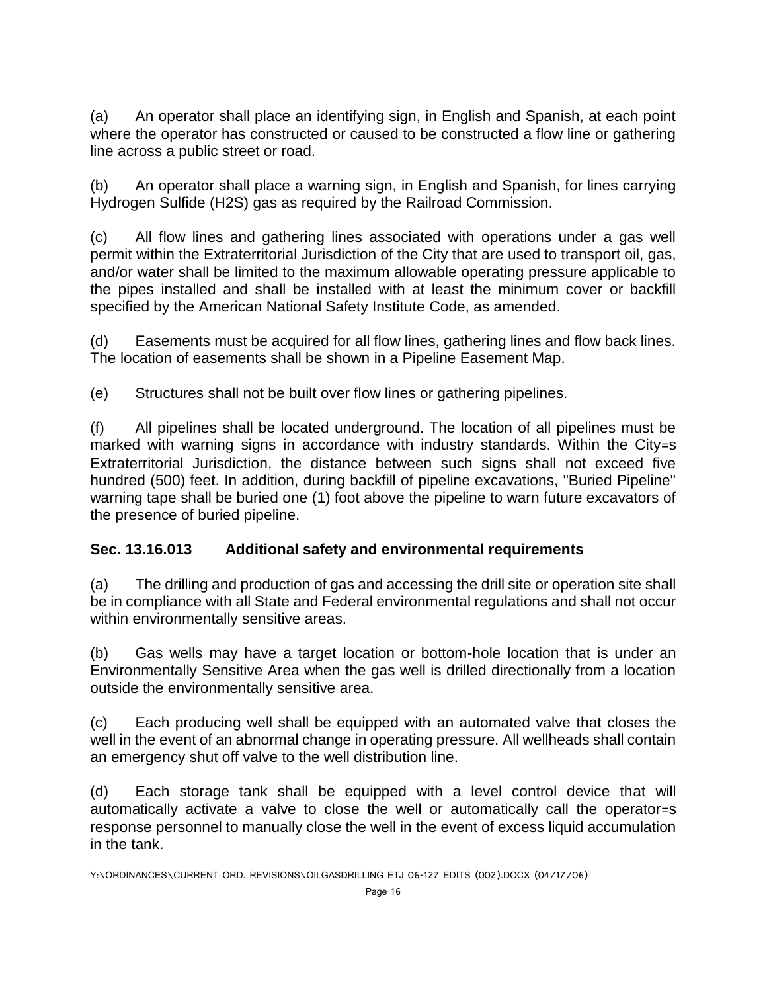(a) An operator shall place an identifying sign, in English and Spanish, at each point where the operator has constructed or caused to be constructed a flow line or gathering line across a public street or road.

(b) An operator shall place a warning sign, in English and Spanish, for lines carrying Hydrogen Sulfide (H2S) gas as required by the Railroad Commission.

(c) All flow lines and gathering lines associated with operations under a gas well permit within the Extraterritorial Jurisdiction of the City that are used to transport oil, gas, and/or water shall be limited to the maximum allowable operating pressure applicable to the pipes installed and shall be installed with at least the minimum cover or backfill specified by the American National Safety Institute Code, as amended.

(d) Easements must be acquired for all flow lines, gathering lines and flow back lines. The location of easements shall be shown in a Pipeline Easement Map.

(e) Structures shall not be built over flow lines or gathering pipelines.

(f) All pipelines shall be located underground. The location of all pipelines must be marked with warning signs in accordance with industry standards. Within the City=s Extraterritorial Jurisdiction, the distance between such signs shall not exceed five hundred (500) feet. In addition, during backfill of pipeline excavations, "Buried Pipeline" warning tape shall be buried one (1) foot above the pipeline to warn future excavators of the presence of buried pipeline.

# **Sec. 13.16.013 Additional safety and environmental requirements**

(a) The drilling and production of gas and accessing the drill site or operation site shall be in compliance with all State and Federal environmental regulations and shall not occur within environmentally sensitive areas.

(b) Gas wells may have a target location or bottom-hole location that is under an Environmentally Sensitive Area when the gas well is drilled directionally from a location outside the environmentally sensitive area.

(c) Each producing well shall be equipped with an automated valve that closes the well in the event of an abnormal change in operating pressure. All wellheads shall contain an emergency shut off valve to the well distribution line.

(d) Each storage tank shall be equipped with a level control device that will automatically activate a valve to close the well or automatically call the operator=s response personnel to manually close the well in the event of excess liquid accumulation in the tank.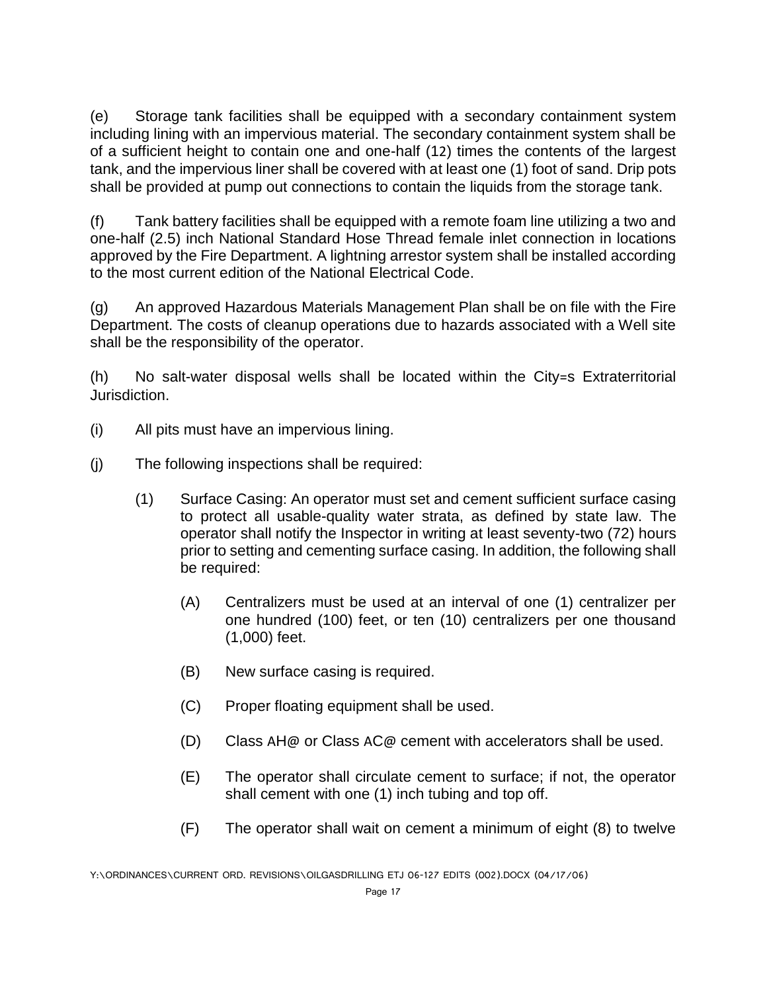(e) Storage tank facilities shall be equipped with a secondary containment system including lining with an impervious material. The secondary containment system shall be of a sufficient height to contain one and one-half (12) times the contents of the largest tank, and the impervious liner shall be covered with at least one (1) foot of sand. Drip pots shall be provided at pump out connections to contain the liquids from the storage tank.

(f) Tank battery facilities shall be equipped with a remote foam line utilizing a two and one-half (2.5) inch National Standard Hose Thread female inlet connection in locations approved by the Fire Department. A lightning arrestor system shall be installed according to the most current edition of the National Electrical Code.

(g) An approved Hazardous Materials Management Plan shall be on file with the Fire Department. The costs of cleanup operations due to hazards associated with a Well site shall be the responsibility of the operator.

(h) No salt-water disposal wells shall be located within the City=s Extraterritorial Jurisdiction.

- (i) All pits must have an impervious lining.
- (j) The following inspections shall be required:
	- (1) Surface Casing: An operator must set and cement sufficient surface casing to protect all usable-quality water strata, as defined by state law. The operator shall notify the Inspector in writing at least seventy-two (72) hours prior to setting and cementing surface casing. In addition, the following shall be required:
		- (A) Centralizers must be used at an interval of one (1) centralizer per one hundred (100) feet, or ten (10) centralizers per one thousand (1,000) feet.
		- (B) New surface casing is required.
		- (C) Proper floating equipment shall be used.
		- (D) Class  $AH@$  or Class  $AC@$  cement with accelerators shall be used.
		- (E) The operator shall circulate cement to surface; if not, the operator shall cement with one (1) inch tubing and top off.
		- (F) The operator shall wait on cement a minimum of eight (8) to twelve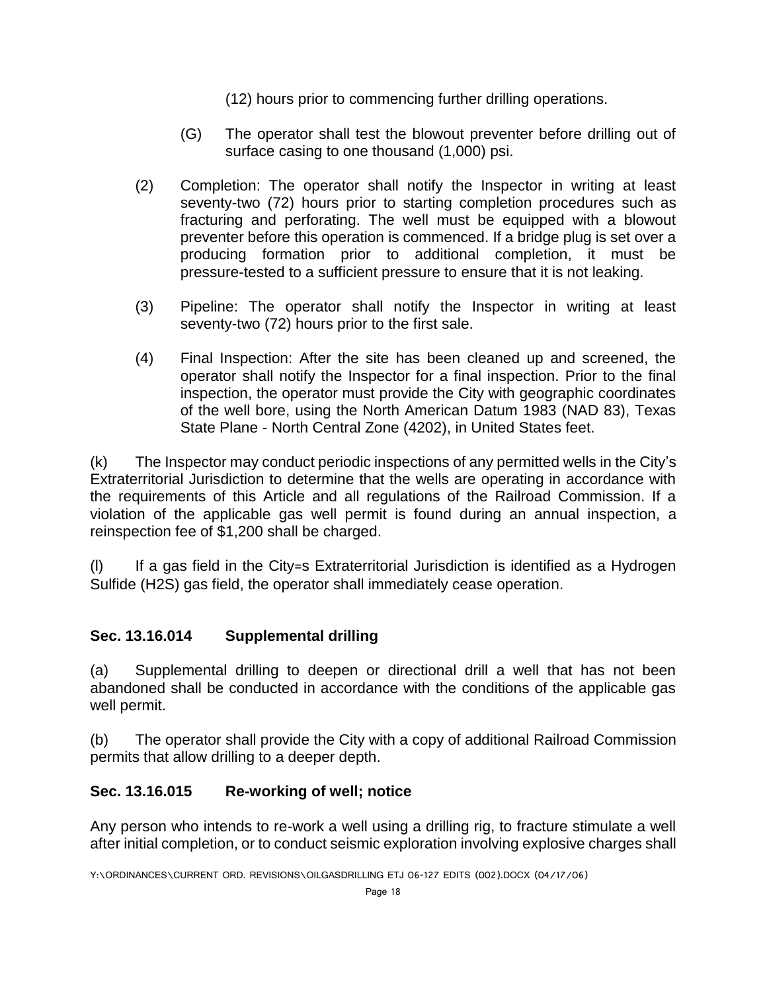- (12) hours prior to commencing further drilling operations.
- (G) The operator shall test the blowout preventer before drilling out of surface casing to one thousand (1,000) psi.
- (2) Completion: The operator shall notify the Inspector in writing at least seventy-two (72) hours prior to starting completion procedures such as fracturing and perforating. The well must be equipped with a blowout preventer before this operation is commenced. If a bridge plug is set over a producing formation prior to additional completion, it must be pressure-tested to a sufficient pressure to ensure that it is not leaking.
- (3) Pipeline: The operator shall notify the Inspector in writing at least seventy-two (72) hours prior to the first sale.
- (4) Final Inspection: After the site has been cleaned up and screened, the operator shall notify the Inspector for a final inspection. Prior to the final inspection, the operator must provide the City with geographic coordinates of the well bore, using the North American Datum 1983 (NAD 83), Texas State Plane - North Central Zone (4202), in United States feet.

(k) The Inspector may conduct periodic inspections of any permitted wells in the City's Extraterritorial Jurisdiction to determine that the wells are operating in accordance with the requirements of this Article and all regulations of the Railroad Commission. If a violation of the applicable gas well permit is found during an annual inspection, a reinspection fee of \$1,200 shall be charged.

(l) If a gas field in the City=s Extraterritorial Jurisdiction is identified as a Hydrogen Sulfide (H2S) gas field, the operator shall immediately cease operation.

# **Sec. 13.16.014 Supplemental drilling**

(a) Supplemental drilling to deepen or directional drill a well that has not been abandoned shall be conducted in accordance with the conditions of the applicable gas well permit.

(b) The operator shall provide the City with a copy of additional Railroad Commission permits that allow drilling to a deeper depth.

# **Sec. 13.16.015 Re-working of well; notice**

Any person who intends to re-work a well using a drilling rig, to fracture stimulate a well after initial completion, or to conduct seismic exploration involving explosive charges shall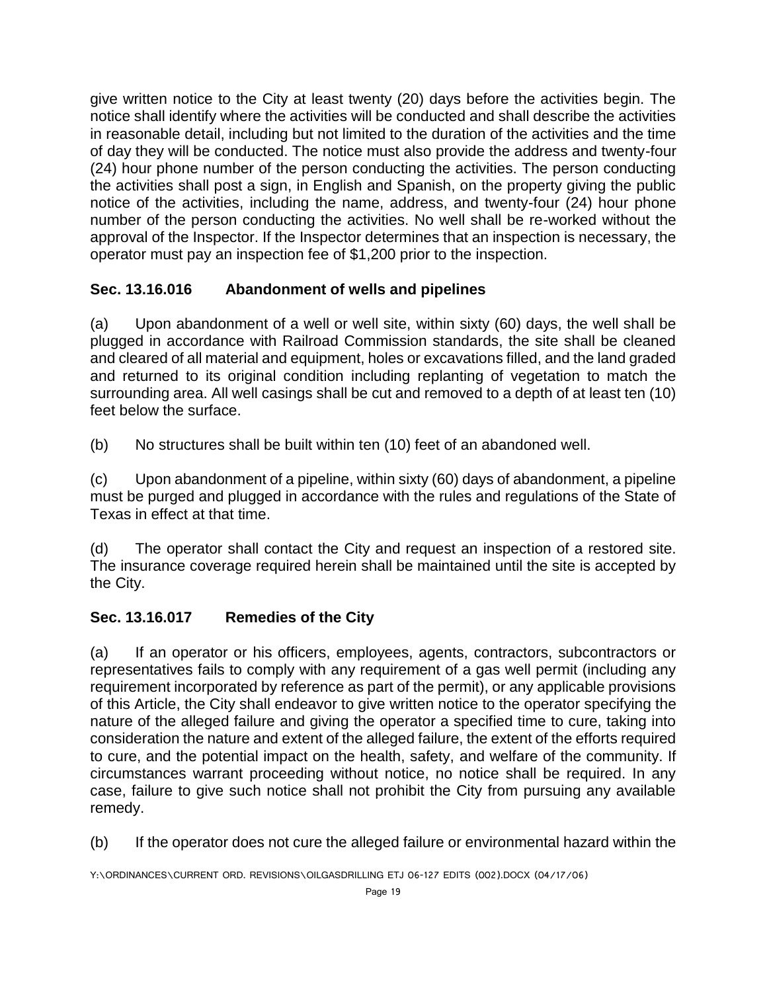give written notice to the City at least twenty (20) days before the activities begin. The notice shall identify where the activities will be conducted and shall describe the activities in reasonable detail, including but not limited to the duration of the activities and the time of day they will be conducted. The notice must also provide the address and twenty-four (24) hour phone number of the person conducting the activities. The person conducting the activities shall post a sign, in English and Spanish, on the property giving the public notice of the activities, including the name, address, and twenty-four (24) hour phone number of the person conducting the activities. No well shall be re-worked without the approval of the Inspector. If the Inspector determines that an inspection is necessary, the operator must pay an inspection fee of \$1,200 prior to the inspection.

# **Sec. 13.16.016 Abandonment of wells and pipelines**

(a) Upon abandonment of a well or well site, within sixty (60) days, the well shall be plugged in accordance with Railroad Commission standards, the site shall be cleaned and cleared of all material and equipment, holes or excavations filled, and the land graded and returned to its original condition including replanting of vegetation to match the surrounding area. All well casings shall be cut and removed to a depth of at least ten (10) feet below the surface.

(b) No structures shall be built within ten (10) feet of an abandoned well.

(c) Upon abandonment of a pipeline, within sixty (60) days of abandonment, a pipeline must be purged and plugged in accordance with the rules and regulations of the State of Texas in effect at that time.

(d) The operator shall contact the City and request an inspection of a restored site. The insurance coverage required herein shall be maintained until the site is accepted by the City.

# **Sec. 13.16.017 Remedies of the City**

(a) If an operator or his officers, employees, agents, contractors, subcontractors or representatives fails to comply with any requirement of a gas well permit (including any requirement incorporated by reference as part of the permit), or any applicable provisions of this Article, the City shall endeavor to give written notice to the operator specifying the nature of the alleged failure and giving the operator a specified time to cure, taking into consideration the nature and extent of the alleged failure, the extent of the efforts required to cure, and the potential impact on the health, safety, and welfare of the community. If circumstances warrant proceeding without notice, no notice shall be required. In any case, failure to give such notice shall not prohibit the City from pursuing any available remedy.

(b) If the operator does not cure the alleged failure or environmental hazard within the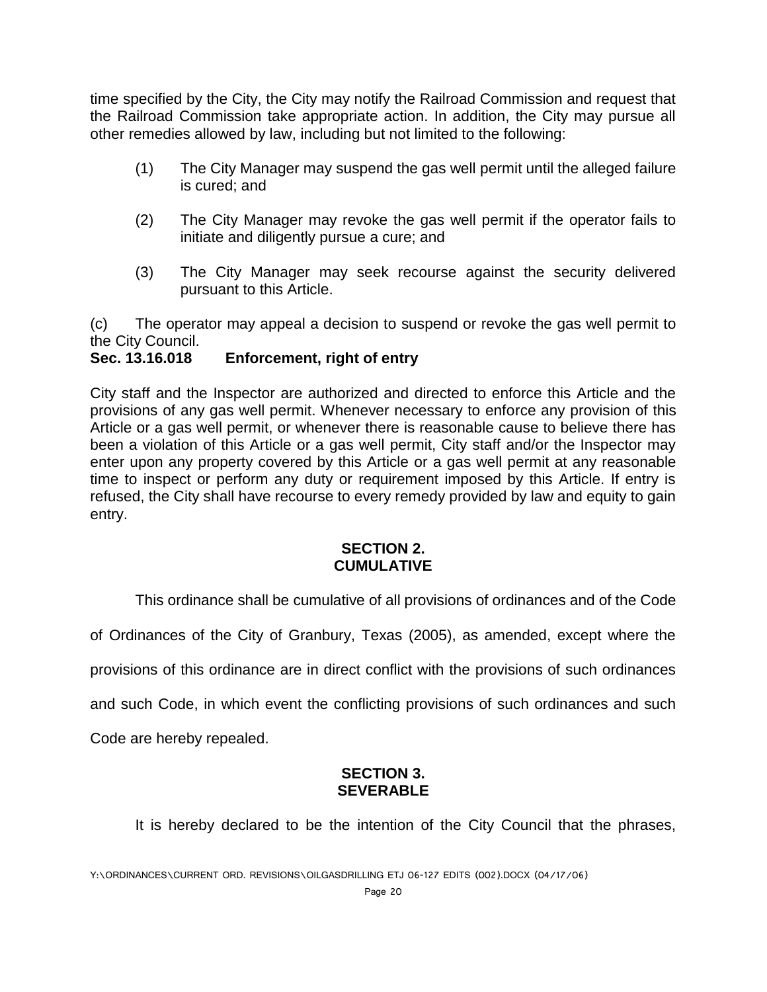time specified by the City, the City may notify the Railroad Commission and request that the Railroad Commission take appropriate action. In addition, the City may pursue all other remedies allowed by law, including but not limited to the following:

- (1) The City Manager may suspend the gas well permit until the alleged failure is cured; and
- (2) The City Manager may revoke the gas well permit if the operator fails to initiate and diligently pursue a cure; and
- (3) The City Manager may seek recourse against the security delivered pursuant to this Article.

(c) The operator may appeal a decision to suspend or revoke the gas well permit to the City Council.

### **Sec. 13.16.018 Enforcement, right of entry**

City staff and the Inspector are authorized and directed to enforce this Article and the provisions of any gas well permit. Whenever necessary to enforce any provision of this Article or a gas well permit, or whenever there is reasonable cause to believe there has been a violation of this Article or a gas well permit, City staff and/or the Inspector may enter upon any property covered by this Article or a gas well permit at any reasonable time to inspect or perform any duty or requirement imposed by this Article. If entry is refused, the City shall have recourse to every remedy provided by law and equity to gain entry.

#### **SECTION 2. CUMULATIVE**

This ordinance shall be cumulative of all provisions of ordinances and of the Code

of Ordinances of the City of Granbury, Texas (2005), as amended, except where the

provisions of this ordinance are in direct conflict with the provisions of such ordinances

and such Code, in which event the conflicting provisions of such ordinances and such

Code are hereby repealed.

#### **SECTION 3. SEVERABLE**

It is hereby declared to be the intention of the City Council that the phrases,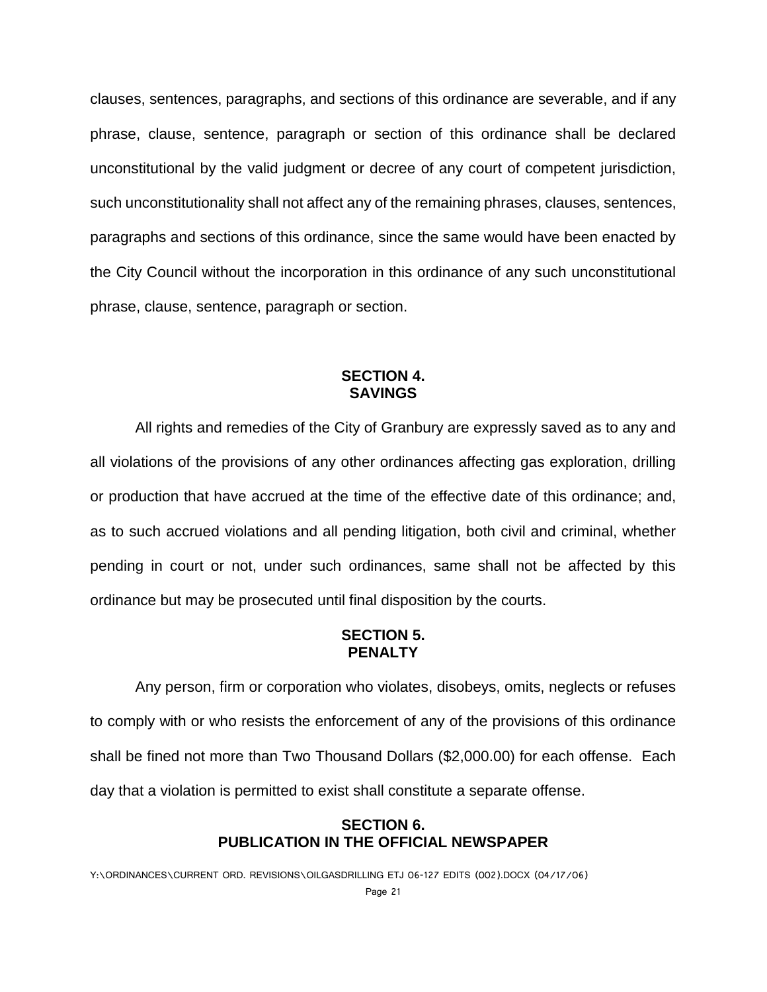clauses, sentences, paragraphs, and sections of this ordinance are severable, and if any phrase, clause, sentence, paragraph or section of this ordinance shall be declared unconstitutional by the valid judgment or decree of any court of competent jurisdiction, such unconstitutionality shall not affect any of the remaining phrases, clauses, sentences, paragraphs and sections of this ordinance, since the same would have been enacted by the City Council without the incorporation in this ordinance of any such unconstitutional phrase, clause, sentence, paragraph or section.

#### **SECTION 4. SAVINGS**

All rights and remedies of the City of Granbury are expressly saved as to any and all violations of the provisions of any other ordinances affecting gas exploration, drilling or production that have accrued at the time of the effective date of this ordinance; and, as to such accrued violations and all pending litigation, both civil and criminal, whether pending in court or not, under such ordinances, same shall not be affected by this ordinance but may be prosecuted until final disposition by the courts.

#### **SECTION 5. PENALTY**

Any person, firm or corporation who violates, disobeys, omits, neglects or refuses to comply with or who resists the enforcement of any of the provisions of this ordinance shall be fined not more than Two Thousand Dollars (\$2,000.00) for each offense. Each day that a violation is permitted to exist shall constitute a separate offense.

#### **SECTION 6. PUBLICATION IN THE OFFICIAL NEWSPAPER**